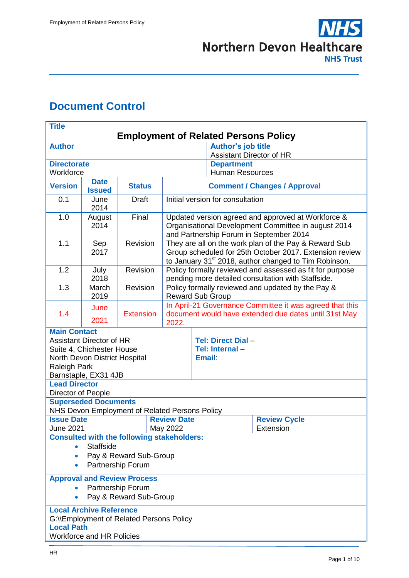

# <span id="page-0-0"></span>**Document Control**

| <b>Author's job title</b><br><b>Author</b><br>Assistant Director of HR<br><b>Directorate</b><br><b>Department</b><br><b>Human Resources</b><br>Workforce<br><b>Date</b><br><b>Version</b><br><b>Status</b><br><b>Comment / Changes / Approval</b><br><b>Issued</b><br>Initial version for consultation<br>0.1<br><b>Draft</b><br>June<br>2014<br>Final<br>1.0<br>August<br>Updated version agreed and approved at Workforce &<br>Organisational Development Committee in august 2014<br>2014<br>and Partnership Forum in September 2014<br>1.1<br>Revision<br>They are all on the work plan of the Pay & Reward Sub<br>Sep<br>Group scheduled for 25th October 2017. Extension review<br>2017<br>to January 31 <sup>st</sup> 2018, author changed to Tim Robinson.<br>1.2<br>Revision<br>Policy formally reviewed and assessed as fit for purpose<br>July | <b>Title</b><br><b>Employment of Related Persons Policy</b>    |  |  |  |  |  |  |  |  |
|-----------------------------------------------------------------------------------------------------------------------------------------------------------------------------------------------------------------------------------------------------------------------------------------------------------------------------------------------------------------------------------------------------------------------------------------------------------------------------------------------------------------------------------------------------------------------------------------------------------------------------------------------------------------------------------------------------------------------------------------------------------------------------------------------------------------------------------------------------------|----------------------------------------------------------------|--|--|--|--|--|--|--|--|
|                                                                                                                                                                                                                                                                                                                                                                                                                                                                                                                                                                                                                                                                                                                                                                                                                                                           |                                                                |  |  |  |  |  |  |  |  |
|                                                                                                                                                                                                                                                                                                                                                                                                                                                                                                                                                                                                                                                                                                                                                                                                                                                           |                                                                |  |  |  |  |  |  |  |  |
|                                                                                                                                                                                                                                                                                                                                                                                                                                                                                                                                                                                                                                                                                                                                                                                                                                                           |                                                                |  |  |  |  |  |  |  |  |
|                                                                                                                                                                                                                                                                                                                                                                                                                                                                                                                                                                                                                                                                                                                                                                                                                                                           |                                                                |  |  |  |  |  |  |  |  |
|                                                                                                                                                                                                                                                                                                                                                                                                                                                                                                                                                                                                                                                                                                                                                                                                                                                           |                                                                |  |  |  |  |  |  |  |  |
|                                                                                                                                                                                                                                                                                                                                                                                                                                                                                                                                                                                                                                                                                                                                                                                                                                                           |                                                                |  |  |  |  |  |  |  |  |
|                                                                                                                                                                                                                                                                                                                                                                                                                                                                                                                                                                                                                                                                                                                                                                                                                                                           |                                                                |  |  |  |  |  |  |  |  |
|                                                                                                                                                                                                                                                                                                                                                                                                                                                                                                                                                                                                                                                                                                                                                                                                                                                           |                                                                |  |  |  |  |  |  |  |  |
| pending more detailed consultation with Staffside.<br>2018                                                                                                                                                                                                                                                                                                                                                                                                                                                                                                                                                                                                                                                                                                                                                                                                |                                                                |  |  |  |  |  |  |  |  |
| 1.3<br>Revision<br>Policy formally reviewed and updated by the Pay &<br>March<br>2019<br><b>Reward Sub Group</b>                                                                                                                                                                                                                                                                                                                                                                                                                                                                                                                                                                                                                                                                                                                                          |                                                                |  |  |  |  |  |  |  |  |
| In April-21 Governance Committee it was agreed that this<br>June                                                                                                                                                                                                                                                                                                                                                                                                                                                                                                                                                                                                                                                                                                                                                                                          |                                                                |  |  |  |  |  |  |  |  |
| 1.4<br><b>Extension</b><br>2021                                                                                                                                                                                                                                                                                                                                                                                                                                                                                                                                                                                                                                                                                                                                                                                                                           | document would have extended due dates until 31st May<br>2022. |  |  |  |  |  |  |  |  |
| <b>Main Contact</b><br><b>Assistant Director of HR</b><br><b>Tel: Direct Dial -</b><br>Suite 4, Chichester House<br>Tel: Internal-<br><b>Email:</b><br>North Devon District Hospital<br>Raleigh Park<br>Barnstaple, EX31 4JB                                                                                                                                                                                                                                                                                                                                                                                                                                                                                                                                                                                                                              |                                                                |  |  |  |  |  |  |  |  |
| <b>Lead Director</b><br>Director of People                                                                                                                                                                                                                                                                                                                                                                                                                                                                                                                                                                                                                                                                                                                                                                                                                |                                                                |  |  |  |  |  |  |  |  |
| <b>Superseded Documents</b><br>NHS Devon Employment of Related Persons Policy                                                                                                                                                                                                                                                                                                                                                                                                                                                                                                                                                                                                                                                                                                                                                                             |                                                                |  |  |  |  |  |  |  |  |
| <b>Review Cycle</b><br><b>Issue Date</b><br><b>Review Date</b>                                                                                                                                                                                                                                                                                                                                                                                                                                                                                                                                                                                                                                                                                                                                                                                            |                                                                |  |  |  |  |  |  |  |  |
| May 2022<br>June 2021<br>Extension                                                                                                                                                                                                                                                                                                                                                                                                                                                                                                                                                                                                                                                                                                                                                                                                                        |                                                                |  |  |  |  |  |  |  |  |
| <b>Consulted with the following stakeholders:</b><br><b>Staffside</b><br>Pay & Reward Sub-Group<br>$\bullet$<br>Partnership Forum<br>$\bullet$                                                                                                                                                                                                                                                                                                                                                                                                                                                                                                                                                                                                                                                                                                            |                                                                |  |  |  |  |  |  |  |  |
| <b>Approval and Review Process</b><br>Partnership Forum<br>Pay & Reward Sub-Group                                                                                                                                                                                                                                                                                                                                                                                                                                                                                                                                                                                                                                                                                                                                                                         |                                                                |  |  |  |  |  |  |  |  |
| <b>Local Archive Reference</b><br>G:\\Employment of Related Persons Policy<br><b>Local Path</b><br><b>Workforce and HR Policies</b>                                                                                                                                                                                                                                                                                                                                                                                                                                                                                                                                                                                                                                                                                                                       |                                                                |  |  |  |  |  |  |  |  |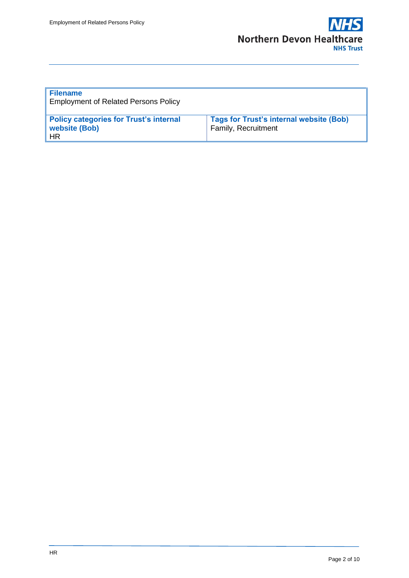

| <b>Filename</b><br><b>Employment of Related Persons Policy</b>                     |                                                                       |
|------------------------------------------------------------------------------------|-----------------------------------------------------------------------|
| <b>Policy categories for Trust's internal</b><br><b>website (Bob)</b><br><b>HR</b> | <b>Tags for Trust's internal website (Bob)</b><br>Family, Recruitment |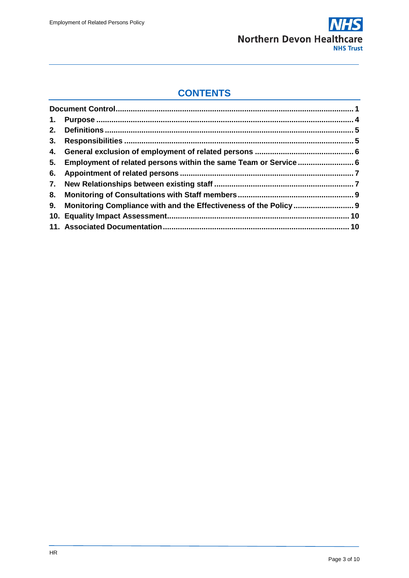

### **CONTENTS**

| 5. Employment of related persons within the same Team or Service  6  |  |
|----------------------------------------------------------------------|--|
|                                                                      |  |
|                                                                      |  |
|                                                                      |  |
| 9. Monitoring Compliance with and the Effectiveness of the Policy  9 |  |
|                                                                      |  |
|                                                                      |  |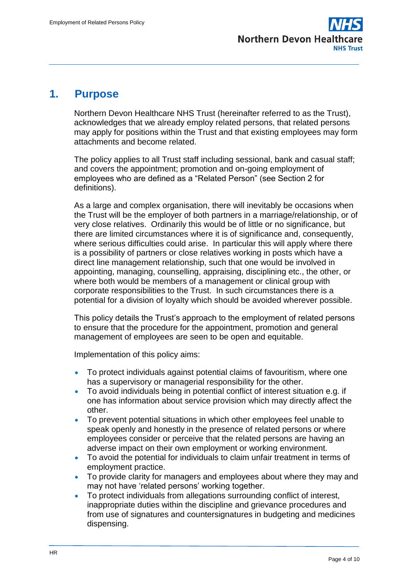

#### <span id="page-3-0"></span>**1. Purpose**

Northern Devon Healthcare NHS Trust (hereinafter referred to as the Trust), acknowledges that we already employ related persons, that related persons may apply for positions within the Trust and that existing employees may form attachments and become related.

The policy applies to all Trust staff including sessional, bank and casual staff; and covers the appointment; promotion and on-going employment of employees who are defined as a "Related Person" (see Section 2 for definitions).

As a large and complex organisation, there will inevitably be occasions when the Trust will be the employer of both partners in a marriage/relationship, or of very close relatives. Ordinarily this would be of little or no significance, but there are limited circumstances where it is of significance and, consequently, where serious difficulties could arise. In particular this will apply where there is a possibility of partners or close relatives working in posts which have a direct line management relationship, such that one would be involved in appointing, managing, counselling, appraising, disciplining etc., the other, or where both would be members of a management or clinical group with corporate responsibilities to the Trust. In such circumstances there is a potential for a division of loyalty which should be avoided wherever possible.

This policy details the Trust's approach to the employment of related persons to ensure that the procedure for the appointment, promotion and general management of employees are seen to be open and equitable.

Implementation of this policy aims:

- To protect individuals against potential claims of favouritism, where one has a supervisory or managerial responsibility for the other.
- To avoid individuals being in potential conflict of interest situation e.g. if one has information about service provision which may directly affect the other.
- To prevent potential situations in which other employees feel unable to speak openly and honestly in the presence of related persons or where employees consider or perceive that the related persons are having an adverse impact on their own employment or working environment.
- To avoid the potential for individuals to claim unfair treatment in terms of employment practice.
- To provide clarity for managers and employees about where they may and may not have 'related persons' working together.
- To protect individuals from allegations surrounding conflict of interest, inappropriate duties within the discipline and grievance procedures and from use of signatures and countersignatures in budgeting and medicines dispensing.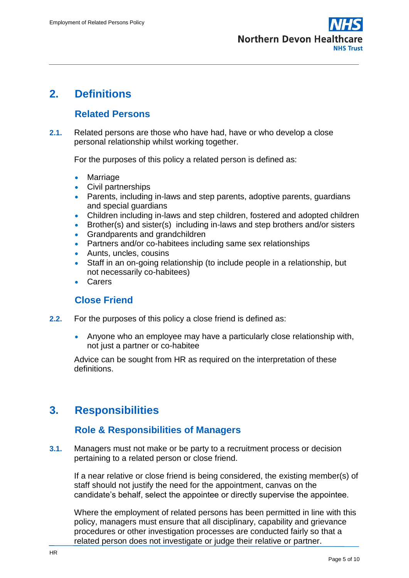

### <span id="page-4-0"></span>**2. Definitions**

### **Related Persons**

**2.1.** Related persons are those who have had, have or who develop a close personal relationship whilst working together.

For the purposes of this policy a related person is defined as:

- Marriage
- Civil partnerships
- Parents, including in-laws and step parents, adoptive parents, guardians and special guardians
- Children including in-laws and step children, fostered and adopted children
- Brother(s) and sister(s) including in-laws and step brothers and/or sisters
- Grandparents and grandchildren
- Partners and/or co-habitees including same sex relationships
- Aunts, uncles, cousins
- Staff in an on-going relationship (to include people in a relationship, but not necessarily co-habitees)
- **Carers**

#### **Close Friend**

- **2.2.** For the purposes of this policy a close friend is defined as:
	- Anyone who an employee may have a particularly close relationship with, not just a partner or co-habitee

Advice can be sought from HR as required on the interpretation of these definitions.

# <span id="page-4-1"></span>**3. Responsibilities**

#### **Role & Responsibilities of Managers**

**3.1.** Managers must not make or be party to a recruitment process or decision pertaining to a related person or close friend.

If a near relative or close friend is being considered, the existing member(s) of staff should not justify the need for the appointment, canvas on the candidate's behalf, select the appointee or directly supervise the appointee.

Where the employment of related persons has been permitted in line with this policy, managers must ensure that all disciplinary, capability and grievance procedures or other investigation processes are conducted fairly so that a related person does not investigate or judge their relative or partner.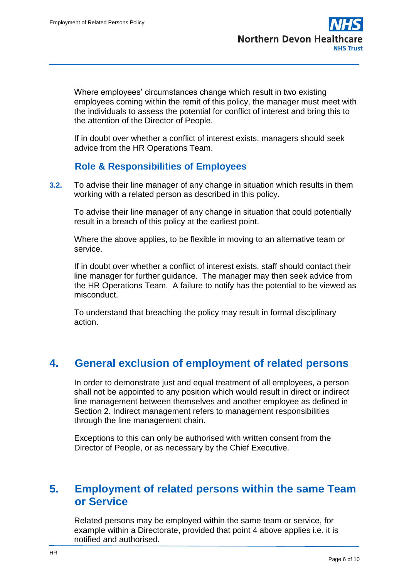Where employees' circumstances change which result in two existing employees coming within the remit of this policy, the manager must meet with the individuals to assess the potential for conflict of interest and bring this to the attention of the Director of People.

If in doubt over whether a conflict of interest exists, managers should seek advice from the HR Operations Team.

### **Role & Responsibilities of Employees**

**3.2.** To advise their line manager of any change in situation which results in them working with a related person as described in this policy.

To advise their line manager of any change in situation that could potentially result in a breach of this policy at the earliest point.

Where the above applies, to be flexible in moving to an alternative team or service.

If in doubt over whether a conflict of interest exists, staff should contact their line manager for further guidance. The manager may then seek advice from the HR Operations Team. A failure to notify has the potential to be viewed as misconduct.

To understand that breaching the policy may result in formal disciplinary action.

# <span id="page-5-0"></span>**4. General exclusion of employment of related persons**

In order to demonstrate just and equal treatment of all employees, a person shall not be appointed to any position which would result in direct or indirect line management between themselves and another employee as defined in Section 2. Indirect management refers to management responsibilities through the line management chain.

Exceptions to this can only be authorised with written consent from the Director of People, or as necessary by the Chief Executive.

### <span id="page-5-1"></span>**5. Employment of related persons within the same Team or Service**

Related persons may be employed within the same team or service, for example within a Directorate, provided that point 4 above applies i.e. it is notified and authorised.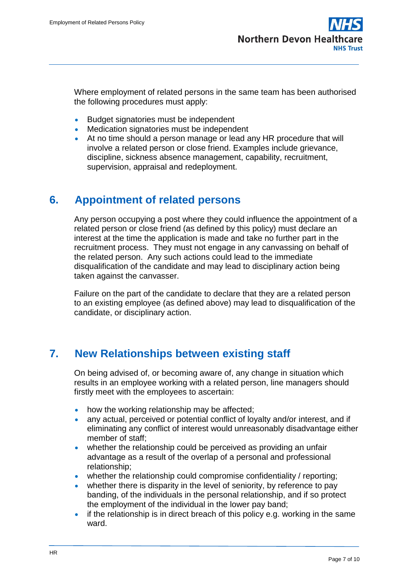Where employment of related persons in the same team has been authorised the following procedures must apply:

- Budget signatories must be independent
- Medication signatories must be independent
- At no time should a person manage or lead any HR procedure that will involve a related person or close friend. Examples include grievance, discipline, sickness absence management, capability, recruitment, supervision, appraisal and redeployment.

## <span id="page-6-0"></span>**6. Appointment of related persons**

Any person occupying a post where they could influence the appointment of a related person or close friend (as defined by this policy) must declare an interest at the time the application is made and take no further part in the recruitment process. They must not engage in any canvassing on behalf of the related person. Any such actions could lead to the immediate disqualification of the candidate and may lead to disciplinary action being taken against the canvasser.

Failure on the part of the candidate to declare that they are a related person to an existing employee (as defined above) may lead to disqualification of the candidate, or disciplinary action.

# <span id="page-6-1"></span>**7. New Relationships between existing staff**

On being advised of, or becoming aware of, any change in situation which results in an employee working with a related person, line managers should firstly meet with the employees to ascertain:

- how the working relationship may be affected:
- any actual, perceived or potential conflict of loyalty and/or interest, and if eliminating any conflict of interest would unreasonably disadvantage either member of staff;
- whether the relationship could be perceived as providing an unfair advantage as a result of the overlap of a personal and professional relationship;
- whether the relationship could compromise confidentiality / reporting;
- whether there is disparity in the level of seniority, by reference to pay banding, of the individuals in the personal relationship, and if so protect the employment of the individual in the lower pay band;
- if the relationship is in direct breach of this policy e.g. working in the same ward.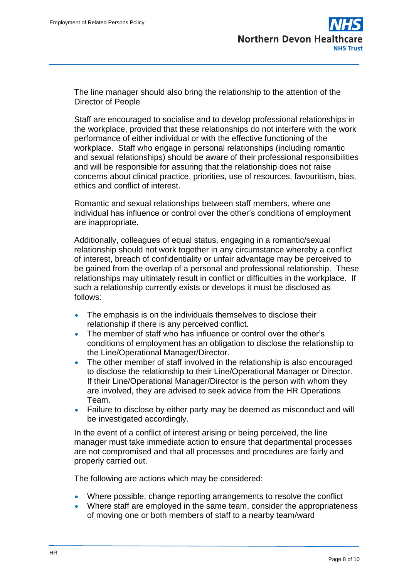

The line manager should also bring the relationship to the attention of the Director of People

Staff are encouraged to socialise and to develop professional relationships in the workplace, provided that these relationships do not interfere with the work performance of either individual or with the effective functioning of the workplace. Staff who engage in personal relationships (including romantic and sexual relationships) should be aware of their professional responsibilities and will be responsible for assuring that the relationship does not raise concerns about clinical practice, priorities, use of resources, favouritism, bias, ethics and conflict of interest.

Romantic and sexual relationships between staff members, where one individual has influence or control over the other's conditions of employment are inappropriate.

Additionally, colleagues of equal status, engaging in a romantic/sexual relationship should not work together in any circumstance whereby a conflict of interest, breach of confidentiality or unfair advantage may be perceived to be gained from the overlap of a personal and professional relationship. These relationships may ultimately result in conflict or difficulties in the workplace. If such a relationship currently exists or develops it must be disclosed as follows:

- The emphasis is on the individuals themselves to disclose their relationship if there is any perceived conflict.
- The member of staff who has influence or control over the other's conditions of employment has an obligation to disclose the relationship to the Line/Operational Manager/Director.
- The other member of staff involved in the relationship is also encouraged to disclose the relationship to their Line/Operational Manager or Director. If their Line/Operational Manager/Director is the person with whom they are involved, they are advised to seek advice from the HR Operations Team.
- Failure to disclose by either party may be deemed as misconduct and will be investigated accordingly.

In the event of a conflict of interest arising or being perceived, the line manager must take immediate action to ensure that departmental processes are not compromised and that all processes and procedures are fairly and properly carried out.

The following are actions which may be considered:

- Where possible, change reporting arrangements to resolve the conflict
- Where staff are employed in the same team, consider the appropriateness of moving one or both members of staff to a nearby team/ward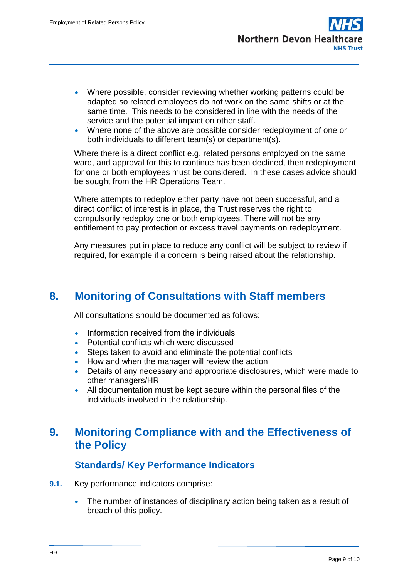- Where possible, consider reviewing whether working patterns could be adapted so related employees do not work on the same shifts or at the same time. This needs to be considered in line with the needs of the service and the potential impact on other staff.
- Where none of the above are possible consider redeployment of one or both individuals to different team(s) or department(s).

Where there is a direct conflict e.g. related persons employed on the same ward, and approval for this to continue has been declined, then redeployment for one or both employees must be considered. In these cases advice should be sought from the HR Operations Team.

Where attempts to redeploy either party have not been successful, and a direct conflict of interest is in place, the Trust reserves the right to compulsorily redeploy one or both employees. There will not be any entitlement to pay protection or excess travel payments on redeployment.

Any measures put in place to reduce any conflict will be subject to review if required, for example if a concern is being raised about the relationship.

### <span id="page-8-0"></span>**8. Monitoring of Consultations with Staff members**

All consultations should be documented as follows:

- Information received from the individuals
- Potential conflicts which were discussed
- Steps taken to avoid and eliminate the potential conflicts
- How and when the manager will review the action
- Details of any necessary and appropriate disclosures, which were made to other managers/HR
- All documentation must be kept secure within the personal files of the individuals involved in the relationship.

### <span id="page-8-1"></span>**9. Monitoring Compliance with and the Effectiveness of the Policy**

#### **Standards/ Key Performance Indicators**

- **9.1.** Key performance indicators comprise:
	- The number of instances of disciplinary action being taken as a result of breach of this policy.